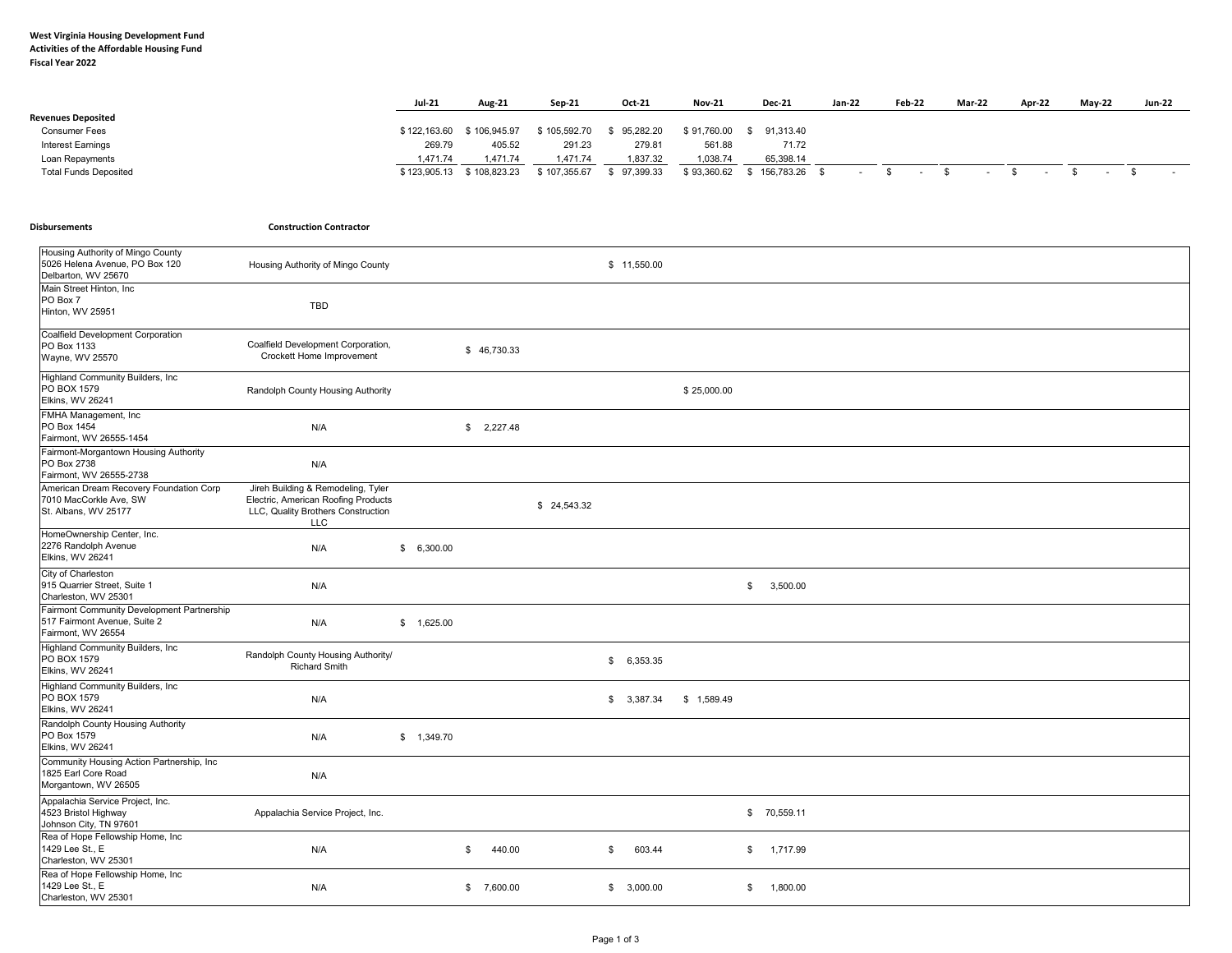## **West Virginia Housing Development Fund Activities of the Affordable Housing Fund Fiscal Year 2022**

|                              | <b>Jul-21</b> | <b>Aug-21</b> | Sep-21       | Oct-21    | <b>Nov-21</b> | <b>Dec-21</b>   | Jan-22 | <b>Feb-22</b> | Mar-22 | Apr-22 | <b>May-22</b> | <b>Jun-22</b> |
|------------------------------|---------------|---------------|--------------|-----------|---------------|-----------------|--------|---------------|--------|--------|---------------|---------------|
| <b>Revenues Deposited</b>    |               |               |              |           |               |                 |        |               |        |        |               |               |
| <b>Consumer Fees</b>         | \$122,163.60  | 106.945.97    | \$105,592.70 | 95,282.20 | \$91,760.00   | 91,313.40       |        |               |        |        |               |               |
| <b>Interest Earnings</b>     | 269.79        | 405.52        | 291.23       | 279.81    | 561.88        | 71.72           |        |               |        |        |               |               |
| Loan Repayments              | 1.471.74      | 1.471.74      | .471.74      | 1,837.32  | 1,038.74      | 65,398.14       |        |               |        |        |               |               |
| <b>Total Funds Deposited</b> | \$123,905.13  | 3 108.823.23  | \$107,355.67 | 97.399.33 | \$93,360.62   | \$156,783.26 \$ |        |               |        |        |               |               |

|  | <b>Disbursements</b> |  |
|--|----------------------|--|
|--|----------------------|--|

**Disbursements Construction Contractor**

| Housing Authority of Mingo County<br>5026 Helena Avenue, PO Box 120<br>Delbarton, WV 25670       | Housing Authority of Mingo County                                                                                             |            |              |             | \$11,550.00    |             |                |
|--------------------------------------------------------------------------------------------------|-------------------------------------------------------------------------------------------------------------------------------|------------|--------------|-------------|----------------|-------------|----------------|
| Main Street Hinton, Inc.<br>PO Box 7<br>Hinton, WV 25951                                         | TBD                                                                                                                           |            |              |             |                |             |                |
| Coalfield Development Corporation<br>PO Box 1133<br>Wayne, WV 25570                              | Coalfield Development Corporation,<br>Crockett Home Improvement                                                               |            | \$46,730.33  |             |                |             |                |
| Highland Community Builders, Inc.<br>PO BOX 1579<br>Elkins, WV 26241                             | Randolph County Housing Authority                                                                                             |            |              |             |                | \$25,000.00 |                |
| FMHA Management, Inc.<br>PO Box 1454<br>Fairmont, WV 26555-1454                                  | N/A                                                                                                                           |            | \$2,227.48   |             |                |             |                |
| Fairmont-Morgantown Housing Authority<br>PO Box 2738<br>Fairmont, WV 26555-2738                  | N/A                                                                                                                           |            |              |             |                |             |                |
| American Dream Recovery Foundation Corp<br>7010 MacCorkle Ave, SW<br>St. Albans, WV 25177        | Jireh Building & Remodeling, Tyler<br>Electric, American Roofing Products<br>LLC, Quality Brothers Construction<br><b>LLC</b> |            |              | \$24,543.32 |                |             |                |
| HomeOwnership Center, Inc.<br>2276 Randolph Avenue<br>Elkins, WV 26241                           | N/A                                                                                                                           | \$6,300.00 |              |             |                |             |                |
| City of Charleston<br>915 Quarrier Street, Suite 1<br>Charleston, WV 25301                       | N/A                                                                                                                           |            |              |             |                |             | \$<br>3,500.00 |
| Fairmont Community Development Partnership<br>517 Fairmont Avenue, Suite 2<br>Fairmont, WV 26554 | N/A                                                                                                                           | \$1,625.00 |              |             |                |             |                |
| Highland Community Builders, Inc.<br>PO BOX 1579<br>Elkins, WV 26241                             | Randolph County Housing Authority/<br><b>Richard Smith</b>                                                                    |            |              |             | \$<br>6,353.35 |             |                |
| Highland Community Builders, Inc.<br>PO BOX 1579<br>Elkins, WV 26241                             | N/A                                                                                                                           |            |              |             | \$3,387.34     | \$1,589.49  |                |
| Randolph County Housing Authority<br>PO Box 1579<br>Elkins, WV 26241                             | N/A                                                                                                                           | \$1,349.70 |              |             |                |             |                |
| Community Housing Action Partnership, Inc<br>1825 Earl Core Road<br>Morgantown, WV 26505         | N/A                                                                                                                           |            |              |             |                |             |                |
| Appalachia Service Project, Inc.<br>4523 Bristol Highway<br>Johnson City, TN 97601               | Appalachia Service Project, Inc.                                                                                              |            |              |             |                |             | \$70,559.11    |
| Rea of Hope Fellowship Home, Inc.<br>1429 Lee St., E<br>Charleston, WV 25301                     | N/A                                                                                                                           |            | \$<br>440.00 |             | \$<br>603.44   |             | \$ 1,717.99    |
| Rea of Hope Fellowship Home, Inc.<br>1429 Lee St., E<br>Charleston, WV 25301                     | N/A                                                                                                                           |            | \$7,600.00   |             | \$3,000.00     |             | \$ 1,800.00    |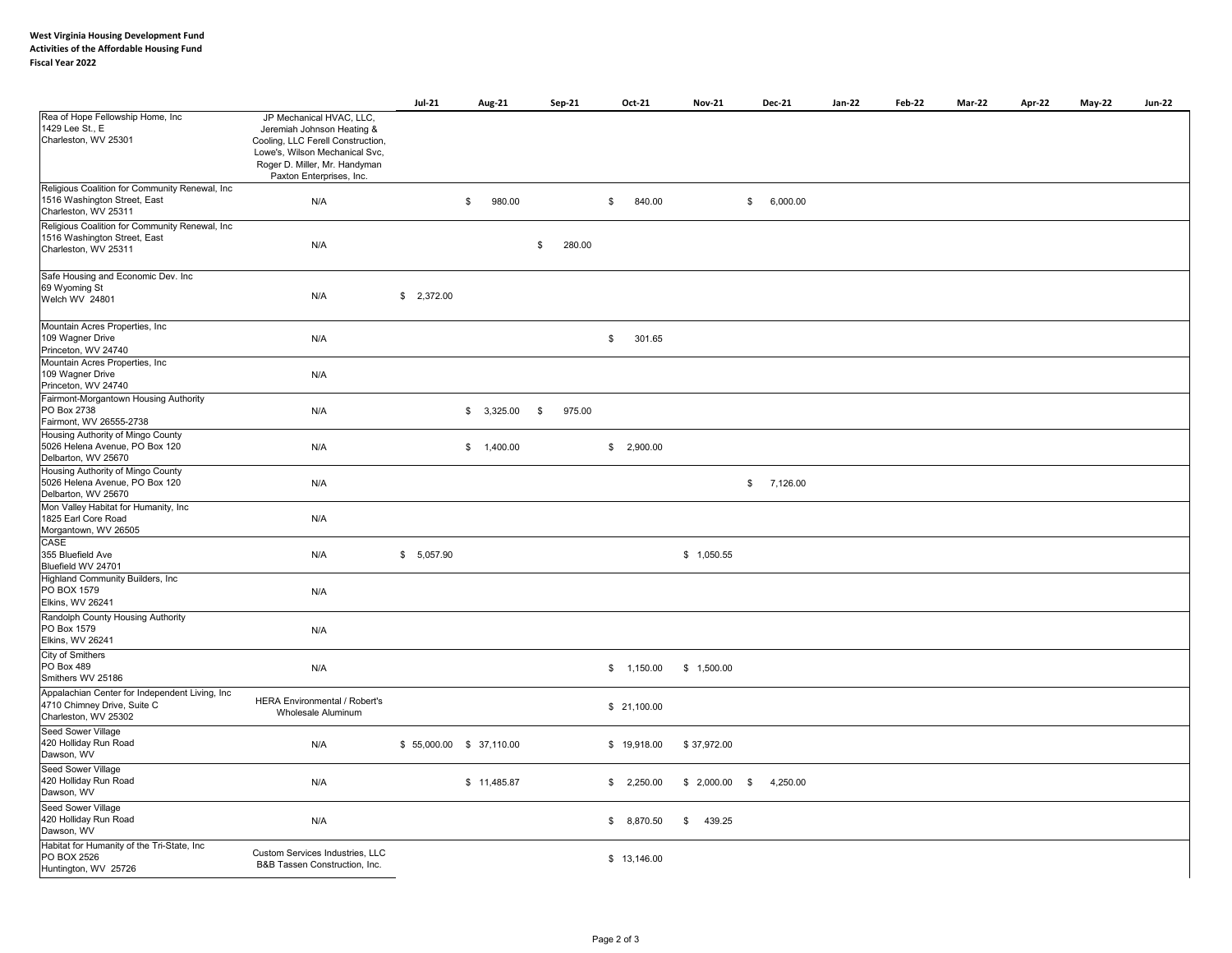|                                                                                                         |                                                                                                                                                                                            | <b>Jul-21</b>           | Aug-21       | Sep-21       | Oct-21       | <b>Nov-21</b>  |              | <b>Dec-21</b> | Jan-22 | <b>Feb-22</b> | Mar-22 | Apr-22 | May-22 | <b>Jun-22</b> |
|---------------------------------------------------------------------------------------------------------|--------------------------------------------------------------------------------------------------------------------------------------------------------------------------------------------|-------------------------|--------------|--------------|--------------|----------------|--------------|---------------|--------|---------------|--------|--------|--------|---------------|
| Rea of Hope Fellowship Home, Inc<br>1429 Lee St., E<br>Charleston, WV 25301                             | JP Mechanical HVAC, LLC,<br>Jeremiah Johnson Heating &<br>Cooling, LLC Ferell Construction,<br>Lowe's, Wilson Mechanical Svc,<br>Roger D. Miller, Mr. Handyman<br>Paxton Enterprises, Inc. |                         |              |              |              |                |              |               |        |               |        |        |        |               |
| Religious Coalition for Community Renewal, Inc.<br>1516 Washington Street, East<br>Charleston, WV 25311 | N/A                                                                                                                                                                                        |                         | \$<br>980.00 |              | \$<br>840.00 |                | $\mathbb{S}$ | 6,000.00      |        |               |        |        |        |               |
| Religious Coalition for Community Renewal, Inc<br>1516 Washington Street, East<br>Charleston, WV 25311  | N/A                                                                                                                                                                                        |                         |              | \$<br>280.00 |              |                |              |               |        |               |        |        |        |               |
| Safe Housing and Economic Dev. Inc<br>69 Wyoming St<br>Welch WV 24801                                   | N/A                                                                                                                                                                                        | \$2,372.00              |              |              |              |                |              |               |        |               |        |        |        |               |
| Mountain Acres Properties, Inc<br>109 Wagner Drive<br>Princeton, WV 24740                               | N/A                                                                                                                                                                                        |                         |              |              | \$<br>301.65 |                |              |               |        |               |        |        |        |               |
| Mountain Acres Properties, Inc<br>109 Wagner Drive<br>Princeton, WV 24740                               | N/A                                                                                                                                                                                        |                         |              |              |              |                |              |               |        |               |        |        |        |               |
| Fairmont-Morgantown Housing Authority<br>PO Box 2738<br>Fairmont, WV 26555-2738                         | N/A                                                                                                                                                                                        |                         | \$3,325.00   | \$<br>975.00 |              |                |              |               |        |               |        |        |        |               |
| Housing Authority of Mingo County<br>5026 Helena Avenue, PO Box 120<br>Delbarton, WV 25670              | N/A                                                                                                                                                                                        |                         | \$ 1,400.00  |              | \$2,900.00   |                |              |               |        |               |        |        |        |               |
| Housing Authority of Mingo County<br>5026 Helena Avenue, PO Box 120<br>Delbarton, WV 25670              | N/A                                                                                                                                                                                        |                         |              |              |              |                | $\mathbb{S}$ | 7,126.00      |        |               |        |        |        |               |
| Mon Valley Habitat for Humanity, Inc<br>1825 Earl Core Road<br>Morgantown, WV 26505<br>CASE             | N/A                                                                                                                                                                                        |                         |              |              |              |                |              |               |        |               |        |        |        |               |
| 355 Bluefield Ave<br>Bluefield WV 24701                                                                 | N/A                                                                                                                                                                                        | \$5,057.90              |              |              |              | \$1,050.55     |              |               |        |               |        |        |        |               |
| Highland Community Builders, Inc.<br>PO BOX 1579<br>Elkins, WV 26241                                    | N/A                                                                                                                                                                                        |                         |              |              |              |                |              |               |        |               |        |        |        |               |
| Randolph County Housing Authority<br>PO Box 1579<br>Elkins, WV 26241                                    | N/A                                                                                                                                                                                        |                         |              |              |              |                |              |               |        |               |        |        |        |               |
| City of Smithers<br>PO Box 489<br>Smithers WV 25186                                                     | N/A                                                                                                                                                                                        |                         |              |              | \$ 1,150.00  | \$1,500.00     |              |               |        |               |        |        |        |               |
| Appalachian Center for Independent Living, Inc<br>4710 Chimney Drive, Suite C<br>Charleston, WV 25302   | HERA Environmental / Robert's<br>Wholesale Aluminum                                                                                                                                        |                         |              |              | \$21,100.00  |                |              |               |        |               |        |        |        |               |
| Seed Sower Village<br>420 Holliday Run Road<br>Dawson, WV                                               | N/A                                                                                                                                                                                        | \$55,000.00 \$37,110.00 |              |              | \$19,918.00  | \$37,972.00    |              |               |        |               |        |        |        |               |
| Seed Sower Village<br>420 Holliday Run Road<br>Dawson, WV                                               | N/A                                                                                                                                                                                        |                         | \$11,485.87  |              | \$2,250.00   | $$2,000.00$ \$ |              | 4,250.00      |        |               |        |        |        |               |
| Seed Sower Village<br>420 Holliday Run Road<br>Dawson, WV                                               | N/A                                                                                                                                                                                        |                         |              |              | \$8,870.50   | \$<br>439.25   |              |               |        |               |        |        |        |               |
| Habitat for Humanity of the Tri-State, Inc<br>PO BOX 2526<br>Huntington, WV 25726                       | Custom Services Industries, LLC<br>B&B Tassen Construction, Inc.                                                                                                                           |                         |              |              | \$13,146.00  |                |              |               |        |               |        |        |        |               |